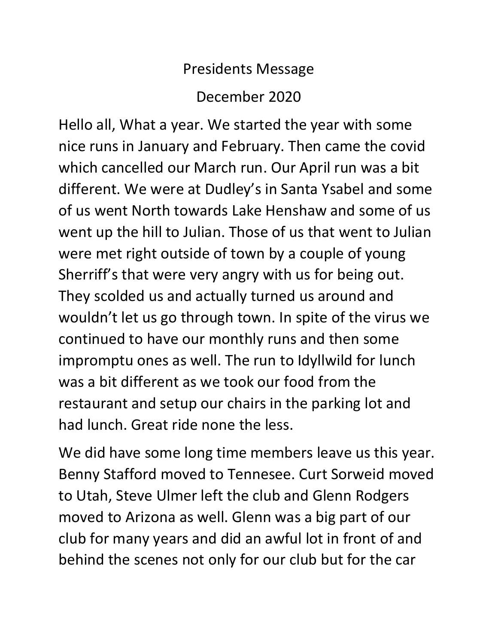## Presidents Message December 2020

Hello all, What a year. We started the year with some nice runs in January and February. Then came the covid which cancelled our March run. Our April run was a bit different. We were at Dudley's in Santa Ysabel and some of us went North towards Lake Henshaw and some of us went up the hill to Julian. Those of us that went to Julian were met right outside of town by a couple of young Sherriff's that were very angry with us for being out. They scolded us and actually turned us around and wouldn't let us go through town. In spite of the virus we continued to have our monthly runs and then some impromptu ones as well. The run to Idyllwild for lunch was a bit different as we took our food from the restaurant and setup our chairs in the parking lot and had lunch. Great ride none the less.

We did have some long time members leave us this year. Benny Stafford moved to Tennesee. Curt Sorweid moved to Utah, Steve Ulmer left the club and Glenn Rodgers moved to Arizona as well. Glenn was a big part of our club for many years and did an awful lot in front of and behind the scenes not only for our club but for the car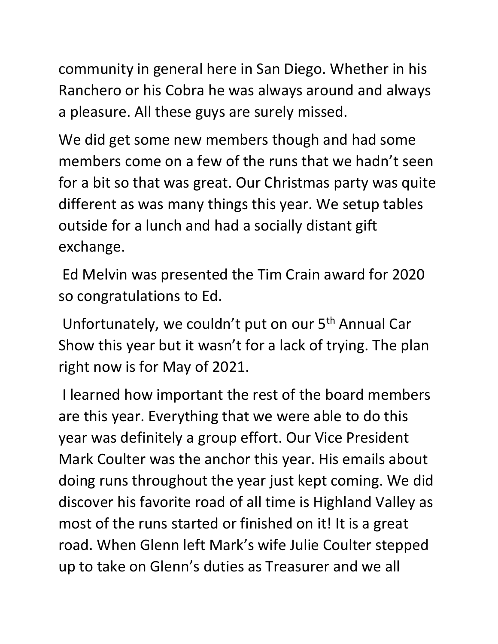community in general here in San Diego. Whether in his Ranchero or his Cobra he was always around and always a pleasure. All these guys are surely missed.

We did get some new members though and had some members come on a few of the runs that we hadn't seen for a bit so that was great. Our Christmas party was quite different as was many things this year. We setup tables outside for a lunch and had a socially distant gift exchange.

Ed Melvin was presented the Tim Crain award for 2020 so congratulations to Ed.

Unfortunately, we couldn't put on our 5<sup>th</sup> Annual Car Show this year but it wasn't for a lack of trying. The plan right now is for May of 2021.

I learned how important the rest of the board members are this year. Everything that we were able to do this year was definitely a group effort. Our Vice President Mark Coulter was the anchor this year. His emails about doing runs throughout the year just kept coming. We did discover his favorite road of all time is Highland Valley as most of the runs started or finished on it! It is a great road. When Glenn left Mark's wife Julie Coulter stepped up to take on Glenn's duties as Treasurer and we all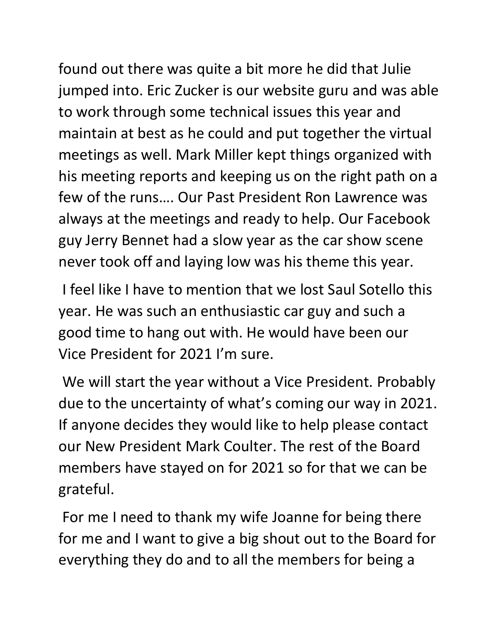found out there was quite a bit more he did that Julie jumped into. Eric Zucker is our website guru and was able to work through some technical issues this year and maintain at best as he could and put together the virtual meetings as well. Mark Miller kept things organized with his meeting reports and keeping us on the right path on a few of the runs…. Our Past President Ron Lawrence was always at the meetings and ready to help. Our Facebook guy Jerry Bennet had a slow year as the car show scene never took off and laying low was his theme this year.

I feel like I have to mention that we lost Saul Sotello this year. He was such an enthusiastic car guy and such a good time to hang out with. He would have been our Vice President for 2021 I'm sure.

We will start the year without a Vice President. Probably due to the uncertainty of what's coming our way in 2021. If anyone decides they would like to help please contact our New President Mark Coulter. The rest of the Board members have stayed on for 2021 so for that we can be grateful.

For me I need to thank my wife Joanne for being there for me and I want to give a big shout out to the Board for everything they do and to all the members for being a